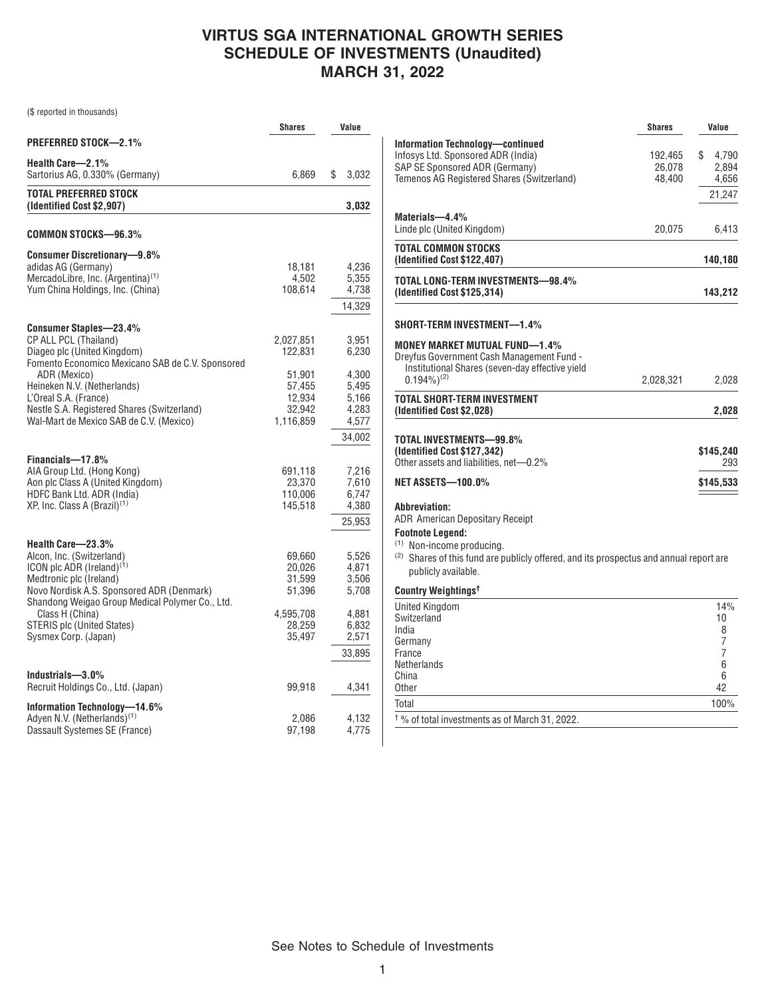# **VIRTUS SGA INTERNATIONAL GROWTH SERIES SCHEDULE OF INVESTMENTS (Unaudited) MARCH 31, 2022**

(\$ reported in thousands)

|                                                                                                                                                                                                                                                                                                             | Shares                                                                    | Value                                                       |
|-------------------------------------------------------------------------------------------------------------------------------------------------------------------------------------------------------------------------------------------------------------------------------------------------------------|---------------------------------------------------------------------------|-------------------------------------------------------------|
| <b>PREFERRED STOCK-2.1%</b>                                                                                                                                                                                                                                                                                 |                                                                           |                                                             |
| Health Care-2.1%<br>Sartorius AG, 0.330% (Germany)                                                                                                                                                                                                                                                          | 6,869                                                                     | \$<br>3,032                                                 |
| <b>TOTAL PREFERRED STOCK</b><br>(Identified Cost \$2,907)                                                                                                                                                                                                                                                   |                                                                           | 3,032                                                       |
| COMMON STOCKS—96.3%                                                                                                                                                                                                                                                                                         |                                                                           |                                                             |
| <b>Consumer Discretionary-9.8%</b><br>adidas AG (Germany)<br>MercadoLibre, Inc. (Argentina) <sup>(1)</sup><br>Yum China Holdings, Inc. (China)                                                                                                                                                              | 18,181<br>4,502<br>108,614                                                | 4,236<br>5,355<br>4,738<br>14,329                           |
| <b>Consumer Staples-23.4%</b><br>CP ALL PCL (Thailand)<br>Diageo plc (United Kingdom)<br>Fomento Economico Mexicano SAB de C.V. Sponsored<br>ADR (Mexico)<br>Heineken N.V. (Netherlands)<br>L'Oreal S.A. (France)<br>Nestle S.A. Registered Shares (Switzerland)<br>Wal-Mart de Mexico SAB de C.V. (Mexico) | 2,027,851<br>122,831<br>51,901<br>57,455<br>12,934<br>32,942<br>1,116,859 | 3,951<br>6,230<br>4,300<br>5,495<br>5,166<br>4,283<br>4,577 |
| Financials-17.8%<br>AIA Group Ltd. (Hong Kong)<br>Aon plc Class A (United Kingdom)<br>HDFC Bank Ltd. ADR (India)<br>XP, Inc. Class A (Brazil) <sup>(1)</sup>                                                                                                                                                | 691,118<br>23,370<br>110,006<br>145,518                                   | 34,002<br>7,216<br>7,610<br>6,747<br>4,380<br>25,953        |
| Health Care-23.3%<br>Alcon, Inc. (Switzerland)<br>ICON plc ADR (Ireland) <sup>(1)</sup><br>Medtronic plc (Ireland)<br>Novo Nordisk A.S. Sponsored ADR (Denmark)<br>Shandong Weigao Group Medical Polymer Co., Ltd.                                                                                          | 69,660<br>20,026<br>31,599<br>51,396                                      | 5,526<br>4,871<br>3,506<br>5,708                            |
| Class H (China)<br><b>STERIS plc (United States)</b><br>Sysmex Corp. (Japan)                                                                                                                                                                                                                                | 4,595,708<br>28,259<br>35,497                                             | 4,881<br>6,832<br>2,571<br>33,895                           |
| Industrials-3.0%<br>Recruit Holdings Co., Ltd. (Japan)                                                                                                                                                                                                                                                      | 99,918                                                                    | 4,341                                                       |
| Information Technology-14.6%<br>Adyen N.V. (Netherlands) <sup>(1)</sup><br>Dassault Systemes SE (France)                                                                                                                                                                                                    | 2,086<br>97,198                                                           | 4,132<br>4,775                                              |

|                                                                                                                                                                                                                                                               | <b>Shares</b>               | Value     |                                   |
|---------------------------------------------------------------------------------------------------------------------------------------------------------------------------------------------------------------------------------------------------------------|-----------------------------|-----------|-----------------------------------|
| <b>Information Technology-continued</b><br>Infosys Ltd. Sponsored ADR (India)<br>SAP SE Sponsored ADR (Germany)<br>Temenos AG Registered Shares (Switzerland)                                                                                                 | 192,465<br>26,078<br>48,400 | \$        | 4,790<br>2,894<br>4,656<br>21,247 |
| Materials-4.4%<br>Linde plc (United Kingdom)                                                                                                                                                                                                                  | 20,075                      |           | 6,413                             |
| TOTAL COMMON STOCKS<br>(Identified Cost \$122,407)                                                                                                                                                                                                            |                             | 140,180   |                                   |
| TOTAL LONG-TERM INVESTMENTS-98.4%<br>(Identified Cost \$125,314)                                                                                                                                                                                              |                             | 143,212   |                                   |
| SHORT-TERM INVESTMENT-1.4%                                                                                                                                                                                                                                    |                             |           |                                   |
| <b>MONEY MARKET MUTUAL FUND-1.4%</b><br>Dreyfus Government Cash Management Fund -<br>Institutional Shares (seven-day effective yield<br>$0.194\%$ <sup>(2)</sup>                                                                                              | 2,028,321                   |           | 2,028                             |
| <b>TOTAL SHORT-TERM INVESTMENT</b><br>(Identified Cost \$2,028)                                                                                                                                                                                               |                             |           | 2,028                             |
| TOTAL INVESTMENTS-99.8%<br>(Identified Cost \$127,342)<br>Other assets and liabilities, net-0.2%                                                                                                                                                              |                             | \$145,240 | 293                               |
| <b>NET ASSETS-100.0%</b>                                                                                                                                                                                                                                      |                             | \$145,533 |                                   |
| <b>Abbreviation:</b><br><b>ADR American Depositary Receipt</b><br><b>Footnote Legend:</b><br><sup>(1)</sup> Non-income producing.<br><sup>(2)</sup> Shares of this fund are publicly offered, and its prospectus and annual report are<br>publicly available. |                             |           |                                   |
| Country Weightings <sup>t</sup>                                                                                                                                                                                                                               |                             |           |                                   |
| <b>United Kingdom</b><br>Switzerland<br>India<br>Germany<br>France<br>Netherlands<br>China<br>Other                                                                                                                                                           |                             | 10<br>42  | 14%<br>8<br>7<br>7<br>6<br>6      |
| Total                                                                                                                                                                                                                                                         |                             |           | 100%                              |

 $\dagger$ % of total investments as of March 31, 2022.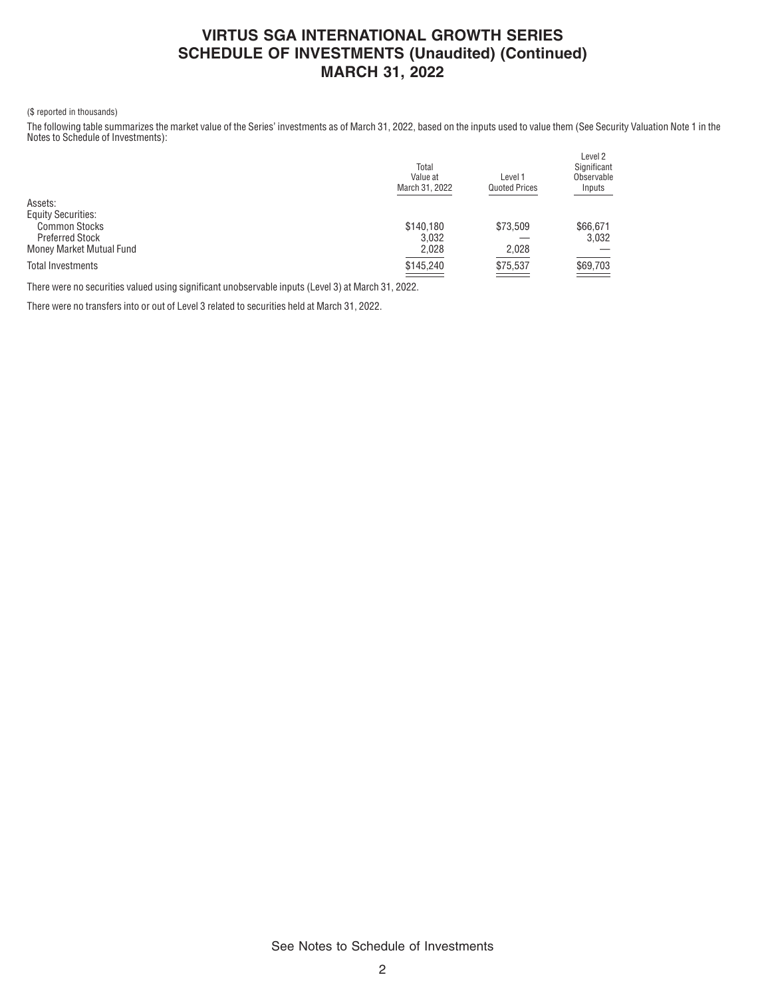### **VIRTUS SGA INTERNATIONAL GROWTH SERIES SCHEDULE OF INVESTMENTS (Unaudited) (Continued) MARCH 31, 2022**

#### (\$ reported in thousands)

The following table summarizes the market value of the Series' investments as of March 31, 2022, based on the inputs used to value them (See Security Valuation Note 1 in the Notes to Schedule of Investments):

|                           | Total<br>Value at<br>March 31, 2022 | Level 1<br><b>Quoted Prices</b> | Level 2<br>Significant<br>Observable<br>Inputs |
|---------------------------|-------------------------------------|---------------------------------|------------------------------------------------|
| Assets:                   |                                     |                                 |                                                |
| <b>Equity Securities:</b> |                                     |                                 |                                                |
| <b>Common Stocks</b>      | \$140,180                           | \$73.509                        | \$66,671                                       |
| <b>Preferred Stock</b>    | 3.032                               |                                 | 3,032                                          |
| Money Market Mutual Fund  | 2.028                               | 2,028                           |                                                |
| <b>Total Investments</b>  | \$145,240                           | \$75,537                        | \$69,703                                       |
|                           |                                     | ____                            |                                                |

There were no securities valued using significant unobservable inputs (Level 3) at March 31, 2022.

There were no transfers into or out of Level 3 related to securities held at March 31, 2022.

See Notes to Schedule of Investments